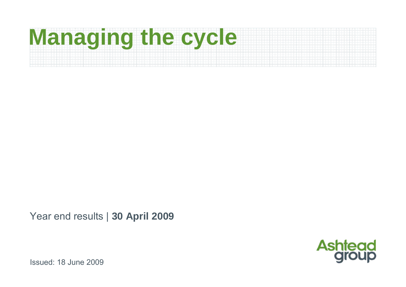# **Managing the cycle**

Year end results | **30 April 2009**

**Ashtead** 

Issued: 18 June 2009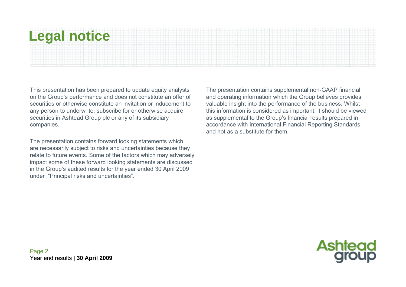# **Legal notice**

This presentation has been prepared to update equity analysts on the Group's performance and does not constitute an offer of securities or otherwise constitute an invitation or inducement to any person to underwrite, subscribe for or otherwise acquire securities in Ashtead Group plc or any of its subsidiary companies.

The presentation contains forward looking statements which are necessarily subject to risks and uncertainties because they relate to future events. Some of the factors which may adversely impact some of these forward looking statements are discussed in the Group's audited results for the year ended 30 April 2009 under "Principal risks and uncertainties".

The presentation contains supplemental non-GAAP financial and operating information which the Group believes provides valuable insight into the performance of the business. Whilst this information is considered as important, it should be viewed as supplemental to the Group's financial results prepared in accordance with International Financial Reporting Standards and not as a substitute for them.

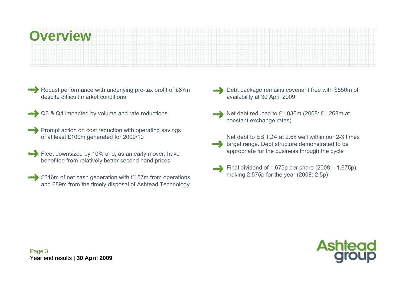Robust performance with underlying pre-tax profit of £87m despite difficult market conditions

- Q3 & Q4 impacted by volume and rate reductions
- Prompt action on cost reduction with operating savings of at least £100m generated for 2009/10
- Fleet downsized by 10% and, as an early mover, have benefited from relatively better second hand prices
- £246m of net cash generation with £157m from operations and £89m from the timely disposal of Ashtead Technology
- Debt package remains covenant free with \$550m of availability at 30 April 2009
- Net debt reduced to £1,036m (2008: £1,268m at constant exchange rates)
	- Net debt to EBITDA at 2.6x well within our 2-3 times target range. Debt structure demonstrated to be appropriate for the business through the cycle
	- Final dividend of 1.675p per share (2008 1.675p), making 2.575p for the year (2008: 2.5p)



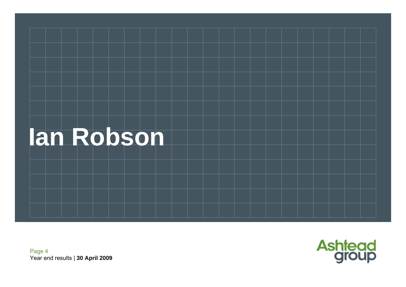



Page 4 Year end results | **30 April 2009**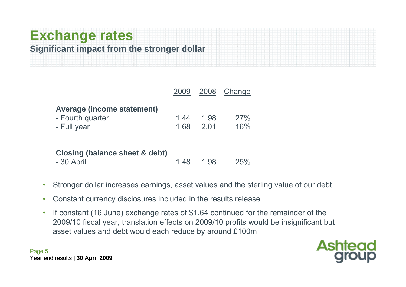# **Exchange rates Significant impact from the stronger dollar**

|                                                                      | 2009         |              | 2008 Change |
|----------------------------------------------------------------------|--------------|--------------|-------------|
| <b>Average (income statement)</b><br>- Fourth quarter<br>- Full year | 1.44<br>1.68 | 1.98<br>2 01 | 27%<br>16%  |

| <b>Closing (balance sheet &amp; debt)</b> |           |     |
|-------------------------------------------|-----------|-----|
| - 30 April                                | 1.48 1.98 | 25% |

- •Stronger dollar increases earnings, asset values and the sterling value of our debt
- •Constant currency disclosures included in the results release
- • If constant (16 June) exchange rates of \$1.64 continued for the remainder of the 2009/10 fiscal year, translation effects on 2009/10 profits would be insignificant but asset values and debt would each reduce by around £100m

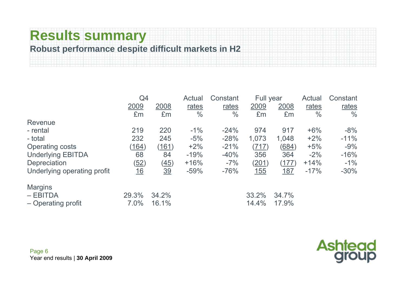# **Results summary**

#### **Robust performance despite difficult markets in H2**

|                             | Q4               |                | Actual        | Constant      | Full year |            | <b>Actual</b> | Constant      |
|-----------------------------|------------------|----------------|---------------|---------------|-----------|------------|---------------|---------------|
|                             | 2009             | 2008           | rates         | rates         | 2009      | 2008       | rates         | rates         |
|                             | £m               | Em             | $\frac{0}{0}$ | $\frac{0}{0}$ | £m        | £m         | $\frac{0}{0}$ | $\frac{0}{0}$ |
| Revenue                     |                  |                |               |               |           |            |               |               |
| - rental                    | 219              | 220            | $-1\%$        | $-24%$        | 974       | 917        | $+6%$         | $-8%$         |
| - total                     | 232              | 245            | $-5%$         | $-28%$        | 1,073     | 1,048      | $+2%$         | $-11%$        |
| <b>Operating costs</b>      | (164)            | (161)          | $+2%$         | $-21%$        | (717)     | (684)      | $+5%$         | $-9%$         |
| <b>Underlying EBITDA</b>    | 68               | 84             | $-19%$        | $-40%$        | 356       | 364        | $-2%$         | $-16%$        |
| Depreciation                | (52)             | (45)           | $+16%$        | $-7%$         | (201)     | (177)      | $+14%$        | $-1\%$        |
| Underlying operating profit | $\underline{16}$ | $\frac{39}{2}$ | $-59%$        | $-76%$        | 155       | <u>187</u> | $-17%$        | $-30\%$       |
| <b>Margins</b>              |                  |                |               |               |           |            |               |               |
| $-EBITDA$                   | 29.3%            | 34.2%          |               |               | 33.2%     | 34.7%      |               |               |
| - Operating profit          | 7.0%             | 16.1%          |               |               | 14.4%     | 17.9%      |               |               |

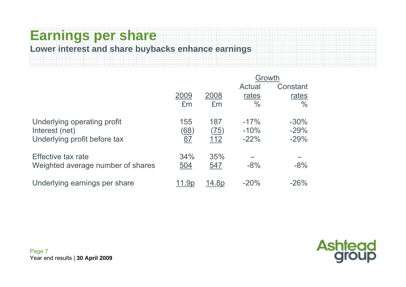### **Earnings per share Lower interest and share buybacks enhance earnings**

|                                                                               |                   |                                   | Growth                     |                            |
|-------------------------------------------------------------------------------|-------------------|-----------------------------------|----------------------------|----------------------------|
|                                                                               |                   |                                   | Actual                     | Constant                   |
|                                                                               | 2009              | 2008                              | rates                      | rates                      |
|                                                                               | £m                | £m                                | $\frac{0}{0}$              | $\frac{0}{0}$              |
| Underlying operating profit<br>Interest (net)<br>Underlying profit before tax | 155<br>(68)<br>87 | 187<br><u>(75)</u><br><u> 112</u> | $-17%$<br>$-10%$<br>$-22%$ | $-30%$<br>$-29%$<br>$-29%$ |
| Effective tax rate<br>Weighted average number of shares                       | 34%<br><u>504</u> | 35%<br><u>547</u>                 | $-8%$                      | $-8%$                      |
| Underlying earnings per share                                                 | <u> 1.9p</u>      | <u> 14.8p</u>                     | $-20%$                     | $-26%$                     |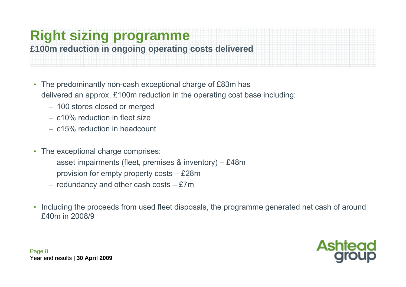# **Right sizing programme**

#### **£100m reduction in ongoing operating costs delivered**

- • The predominantly non-cash exceptional charge of £83m has delivered an approx. £100m reduction in the operating cost base including:
	- − 100 stores closed or merged
	- − c10% reduction in fleet size
	- − c15% reduction in headcount
- $\bullet$  The exceptional charge comprises:
	- − asset impairments (fleet, premises & inventory) £48m
	- − provision for empty property costs £28m
	- − redundancy and other cash costs £7m
- • Including the proceeds from used fleet disposals, the programme generated net cash of around £40m in 2008/9

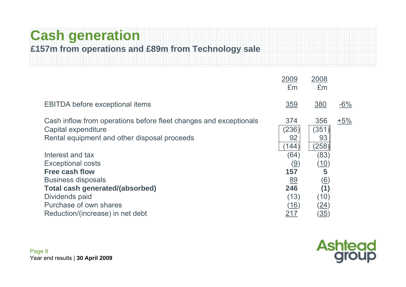## **Cash generation**

#### **£157m from operations and £89m from Technology sale**

|                                                                                                                                          | 2009<br>£m                   | 2008<br>Em                  |        |
|------------------------------------------------------------------------------------------------------------------------------------------|------------------------------|-----------------------------|--------|
| <b>EBITDA before exceptional items</b>                                                                                                   | 359                          | 380                         | $-6\%$ |
| Cash inflow from operations before fleet changes and exceptionals<br>Capital expenditure<br>Rental equipment and other disposal proceeds | 374<br>(236)<br>92<br>(144)  | 356<br>(351)<br>93<br>(258) | $+5%$  |
| Interest and tax                                                                                                                         | (64)                         | (83)                        |        |
| <b>Exceptional costs</b>                                                                                                                 | $\left(\underline{9}\right)$ | <u>(10)</u>                 |        |
| <b>Free cash flow</b>                                                                                                                    | 157                          | 5                           |        |
| <b>Business disposals</b>                                                                                                                | <u>89</u>                    | <u>(6)</u>                  |        |
| <b>Total cash generated/(absorbed)</b>                                                                                                   | 246                          | (1)                         |        |
| Dividends paid                                                                                                                           | (13)                         | (10)                        |        |
| Purchase of own shares                                                                                                                   | <u>(16)</u>                  | <u>(24)</u>                 |        |
| Reduction/(increase) in net debt                                                                                                         | <u> 217</u>                  | <u>(35)</u>                 |        |

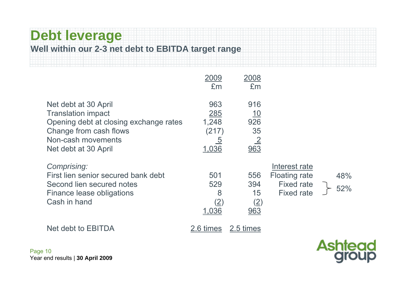# **Debt leverage**

#### **Well within our 2-3 net debt to EBITDA target range**

|                                                                                                                                                                     | 2009<br>£m                                                     | 2008<br>£m                                        |                                                                                 |            |
|---------------------------------------------------------------------------------------------------------------------------------------------------------------------|----------------------------------------------------------------|---------------------------------------------------|---------------------------------------------------------------------------------|------------|
| Net debt at 30 April<br><b>Translation impact</b><br>Opening debt at closing exchange rates<br>Change from cash flows<br>Non-cash movements<br>Net debt at 30 April | 963<br><u>285</u><br>1,248<br>(217)<br>$\overline{5}$<br>1,036 | 916<br><u> 10</u><br>926<br>35<br>$\frac{2}{963}$ |                                                                                 |            |
| Comprising:<br>First lien senior secured bank debt<br>Second lien secured notes<br>Finance lease obligations<br>Cash in hand                                        | 501<br>529<br>8<br>$\left( 2\right)$<br>1,036                  | 556<br>394<br>15<br>(2)<br>963                    | Interest rate<br><b>Floating rate</b><br><b>Fixed rate</b><br><b>Fixed rate</b> | 48%<br>52% |
| Net debt to EBITDA                                                                                                                                                  | 2.6 times                                                      | 2.5 times                                         |                                                                                 |            |

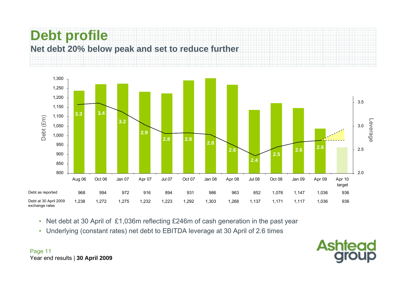



- Net debt at 30 April of £1,036m reflecting £246m of cash generation in the past year
- Underlying (constant rates) net debt to EBITDA leverage at 30 April of 2.6 times



Page 11 Year end results | **30 April 2009**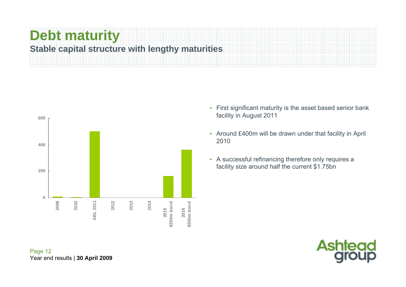# **Debt maturity**

#### **Stable capital structure with lengthy maturities**



- First significant maturity is the asset based senior bank facility in August 2011
- Around £400m will be drawn under that facility in April 2010
- A successful refinancing therefore only requires a facility size around half the current \$1.75bn



Page 12 Year end results | **30 April 2009**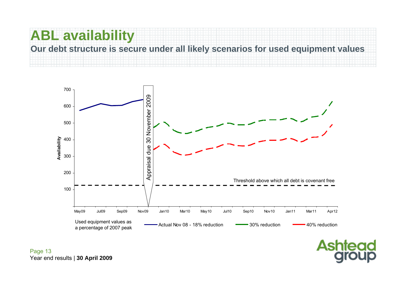# **ABL availability**

**Our debt structure is secure under all likely scenarios for used equipment values**



**Ashtead**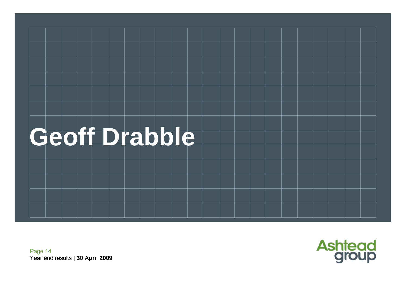# **Geoff Drabble**



Page 14 Year end results | **30 April 2009**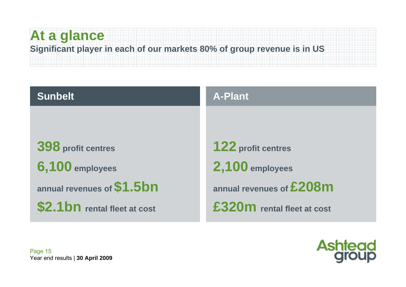## **At a glance Significant player in each of our markets 80% of group revenue is in US**

| <b>Sunbelt</b>                                                      | <b>A-Plant</b>                                                           |
|---------------------------------------------------------------------|--------------------------------------------------------------------------|
|                                                                     |                                                                          |
| 398 profit centres<br>6,100 employees<br>annual revenues of \$1.5bn | <b>122 profit centres</b><br>2,100 employees<br>annual revenues of £208m |
| \$2.1 bn rental fleet at cost                                       | £320m rental fleet at cost                                               |

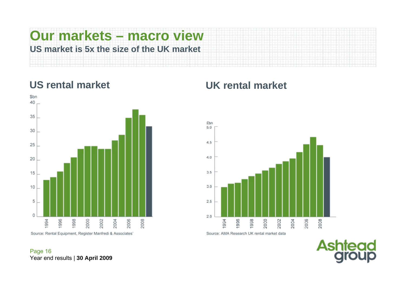# **Our markets – macro view US market is 5x the size of the UK market**



#### **US rental market UK rental market**



**Ashtead** 

Page 16 Year end results | **30 April 2009**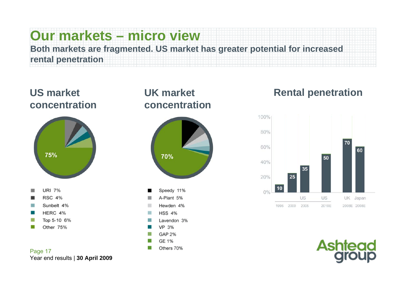# **Our markets – micro view**

**Both markets are fragmented. US market has greater potential for increased rental penetration**

#### **US market concentration**



#### **UK market concentration**



#### **Rental penetration**



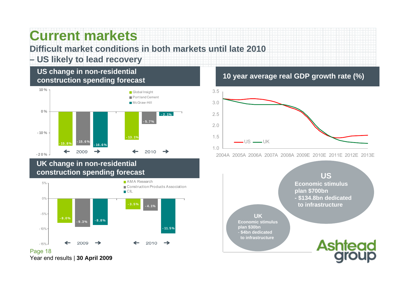## **Current markets**

#### **Difficult market conditions in both markets until late 2010**

#### **– US likely to lead recovery**

#### **US change in non-residential construction spending forecast**



#### **UK change in non-residential construction spending forecast**

Year end results | **30 April 2009**



#### **10 year average real GDP growth rate (%)**



2004A 2005A 2006A 2007A 2008A 2009E 2010E 2011E 2012E 2013E

**USEconomic stimulus plan \$700bn - \$134.8bn dedicated to infrastructure**

**UKEconomic stimulusplan \$30bn** - **\$4bn dedicated to infrastructure**

# **Ashtead**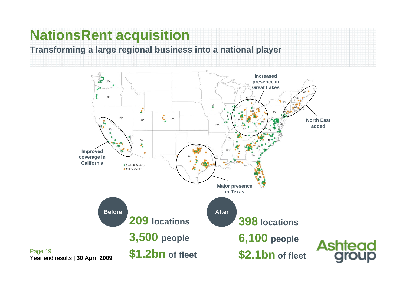# **NationsRent acquisition**

Page 19

#### **Transforming a large regional business into a national player**

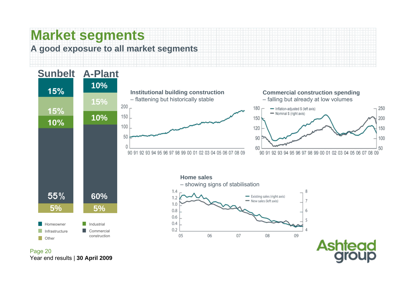# **Market segments**

**A good exposure to all market segments**



Year end results | **30 April 2009**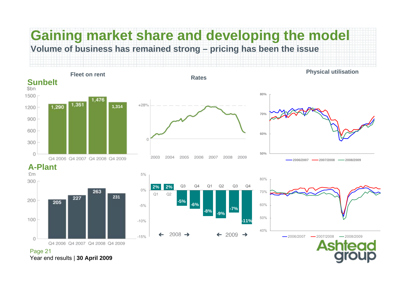#### **Fleet on rentPhysical utilisation Gaining market share and developing the model Volume of business has remained strong – pricing has been the issue**

**Rates**





5%









Page 21 Year end results | **30 April 2009**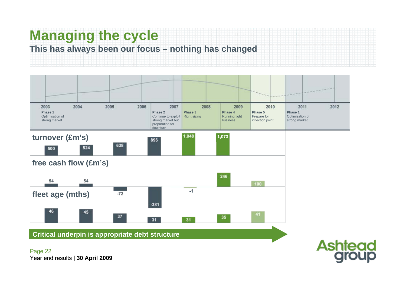# **Managing the cycle**

#### **This has always been our focus – nothing has changed**



**Critical underpin is appropriate debt structure**

Page 22 Year end results | **30 April 2009**

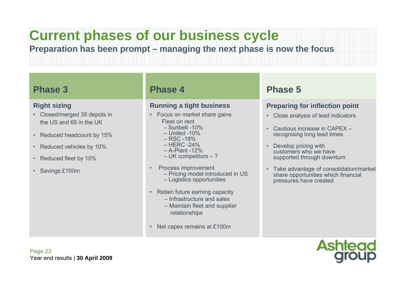# **Current phases of our business cycle**

**Preparation has been prompt – managing the next phase is now the focus**

#### **Phase 3**

#### **Right sizing**

- Closed/merged 35 depots in the US and 65 in the UK
- Reduced headcount by 15%
- •Reduced vehicles by 10%
- •Reduced fleet by 10%
- Savings £100m

#### **Phase 4**

#### **Running a tight business**

- Focus on market share gains Fleet on rent
	- Sunbelt -10%
	- United -10%
	- RSC -18%
	- HERC -24%
	- A-Plant -12%
	- UK competitors ?
- • Process improvement
	- Pricing model introduced in US
	- Logistics opportunities
- Retain future earning capacity
	- Infrastructure and sales
	- Maintain fleet and supplier relationships
- Net capex remains at £100m

#### **Phase 5**

#### **Preparing for inflection point**

- Close analysis of lead indicators
- Cautious increase in CAPEX –recognising long lead times
- • Develop pricing with customers who we have supported through downturn
- Take advantage of consolidation/market share opportunities which financial pressures have created

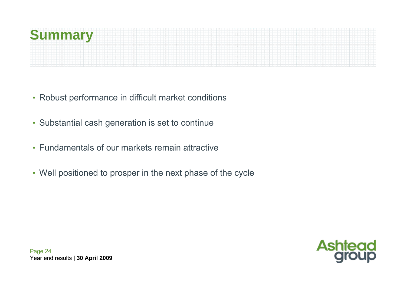

- Robust performance in difficult market conditions
- Substantial cash generation is set to continue
- Fundamentals of our markets remain attractive
- Well positioned to prosper in the next phase of the cycle

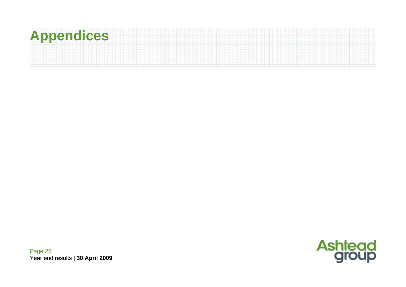# **Appendices**

**Ashtead**<br>**group** 

Page 25 Year end results | **30 April 2009**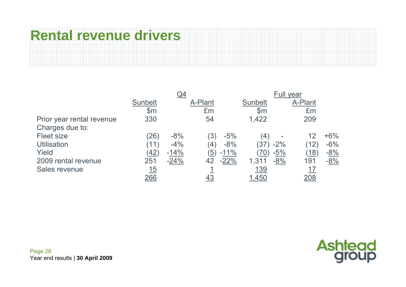# **Rental revenue drivers**

|                           |                | Full year |                  |        |                |        |         |        |
|---------------------------|----------------|-----------|------------------|--------|----------------|--------|---------|--------|
|                           | <b>Sunbelt</b> |           | A-Plant          |        | <b>Sunbelt</b> |        | A-Plant |        |
|                           | $\mathsf{S}$ m |           | £m               |        | $\mathsf{S}$ m |        | £m      |        |
| Prior year rental revenue | 330            |           | 54               |        | 1,422          |        | 209     |        |
| Charges due to:           |                |           |                  |        |                |        |         |        |
| <b>Fleet size</b>         | (26)           | $-8%$     | .3)              | $-5%$  | (4)            |        | 12      | $+6\%$ |
| <b>Utilisation</b>        | (11)           | $-4%$     | 4)               | $-8%$  | (37)           | $-2\%$ | (12)    | $-6\%$ |
| Yield                     | <u>(42)</u>    | $-14%$    | $\left(5\right)$ | $-11%$ | 70)            | $-5%$  | (18)    | $-8%$  |
| 2009 rental revenue       | 251            | $-24%$    | 42               | $-22%$ | 1,311          | $-8%$  | 191     | $-8%$  |
| Sales revenue             | <u> 15</u>     |           |                  |        | 139            |        | 17      |        |
|                           | <u> 266</u>    |           | <u>43</u>        |        | <u>1,450</u>   |        |         |        |

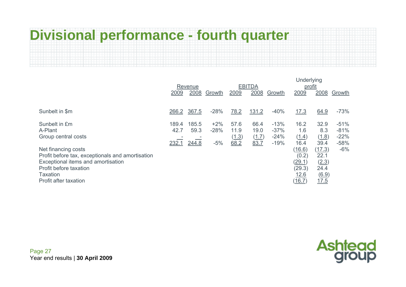# **Divisional performance - fourth quarter**

|                                                                                                                                                                                                                                        | Revenue                |                        |                          |                               | <b>EBITDA</b>                 |                                      | Underlying<br>profit                                                                        |                                                                                |                                               |  |
|----------------------------------------------------------------------------------------------------------------------------------------------------------------------------------------------------------------------------------------|------------------------|------------------------|--------------------------|-------------------------------|-------------------------------|--------------------------------------|---------------------------------------------------------------------------------------------|--------------------------------------------------------------------------------|-----------------------------------------------|--|
|                                                                                                                                                                                                                                        | 2009                   | 2008                   | Growth                   | 2009                          | 2008                          | Growth                               | 2009                                                                                        | 2008                                                                           | Growth                                        |  |
|                                                                                                                                                                                                                                        |                        |                        |                          |                               |                               |                                      |                                                                                             |                                                                                |                                               |  |
| Sunbelt in \$m                                                                                                                                                                                                                         | 266.2                  | 367.5                  | $-28%$                   | 78.2                          | 131.2                         | $-40%$                               | <u>17.3</u>                                                                                 | 64.9                                                                           | $-73%$                                        |  |
| Sunbelt in £m<br>A-Plant<br>Group central costs<br>Net financing costs<br>Profit before tax, exceptionals and amortisation<br>Exceptional items and amortisation<br>Profit before taxation<br><b>Taxation</b><br>Profit after taxation | 189.4<br>42.7<br>232.1 | 185.5<br>59.3<br>244.8 | $+2%$<br>$-28%$<br>$-5%$ | 57.6<br>11.9<br>(1.3)<br>68.2 | 66.4<br>19.0<br>(1.7)<br>83.7 | $-13%$<br>$-37%$<br>$-24%$<br>$-19%$ | 16.2<br>1.6<br>(1.4)<br>16.4<br>(16.6)<br>(0.2)<br>(29.1)<br>(29.3)<br>12.6<br><u>(16.7</u> | 32.9<br>8.3<br>(1.8)<br>39.4<br>(17.3)<br>22.1<br>(2.3)<br>24.4<br>6.9<br>17.5 | $-51%$<br>$-81%$<br>$-22%$<br>$-58%$<br>$-6%$ |  |

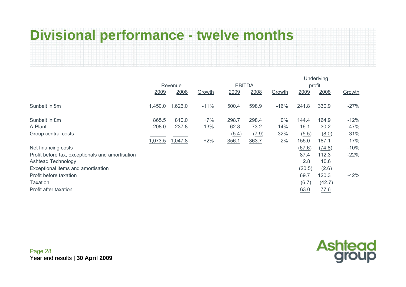# **Divisional performance - twelve months**

|                                                  |         |         |                          |               | Underlying |        |        |                    |        |  |
|--------------------------------------------------|---------|---------|--------------------------|---------------|------------|--------|--------|--------------------|--------|--|
|                                                  | Revenue |         |                          | <b>EBITDA</b> |            | profit |        |                    |        |  |
|                                                  | 2009    | 2008    | Growth                   | 2009          | 2008       | Growth | 2009   | 2008               | Growth |  |
|                                                  |         |         |                          |               |            |        |        |                    |        |  |
| Sunbelt in \$m                                   | 1,450.0 | 1,626.0 | $-11%$                   | 500.4         | 598.9      | $-16%$ | 241.8  | 330.9              | $-27%$ |  |
|                                                  |         |         |                          |               |            |        |        |                    |        |  |
| Sunbelt in £m                                    | 865.5   | 810.0   | $+7%$                    | 298.7         | 298.4      | $0\%$  | 144.4  | 164.9              | $-12%$ |  |
| A-Plant                                          | 208.0   | 237.8   | $-13%$                   | 62.8          | 73.2       | $-14%$ | 16.1   | 30.2               | -47%   |  |
| Group central costs                              |         |         | $\overline{\phantom{a}}$ | (5.4)         | (7.9)      | $-32%$ | (5.5)  | (8.0)              | $-31%$ |  |
|                                                  | 1,073.5 | 1,047.8 | $+2%$                    | 356.1         | 363.7      | $-2%$  | 155.0  | 187.1              | $-17%$ |  |
| Net financing costs                              |         |         |                          |               |            |        | (67.6) | (74.8)             | $-10%$ |  |
| Profit before tax, exceptionals and amortisation |         |         |                          |               |            |        | 87.4   | 112.3              | $-22%$ |  |
| <b>Ashtead Technology</b>                        |         |         |                          |               |            |        | 2.8    | 10.6               |        |  |
| Exceptional items and amortisation               |         |         |                          |               |            |        | (20.5) | (2.6)              |        |  |
| Profit before taxation                           |         |         |                          |               |            |        | 69.7   | 120.3              | $-42%$ |  |
| Taxation                                         |         |         |                          |               |            |        | (6.7)  | (42.7)             |        |  |
| Profit after taxation                            |         |         |                          |               |            |        | 63.0   | $\underline{77.6}$ |        |  |
|                                                  |         |         |                          |               |            |        |        |                    |        |  |

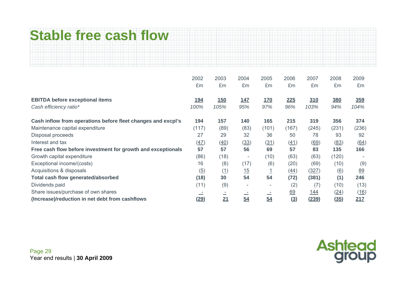# **Stable free cash flow**

|                                                              | 2002<br>£m                   | 2003<br>£m                                           | 2004<br>£m               | 2005<br>£m | 2006<br>£m                     | 2007<br>£m  | 2008<br>£m        | 2009<br>£m |
|--------------------------------------------------------------|------------------------------|------------------------------------------------------|--------------------------|------------|--------------------------------|-------------|-------------------|------------|
| <b>EBITDA before exceptional items</b>                       | <u> 194</u>                  | 150                                                  | 147                      | <u>170</u> | 225                            | 310         | <u>380</u>        | 359        |
| Cash efficiency ratio*                                       | 100%                         | 105%                                                 | 95%                      | 97%        | 96%                            | 103%        | 94%               | 104%       |
| Cash inflow from operations before fleet changes and excpl's | 194                          | 157                                                  | 140                      | 165        | 215                            | 319         | 356               | 374        |
| Maintenance capital expenditure                              | (117)                        | (89)                                                 | (83)                     | (101)      | (167)                          | (245)       | (231)             | (236)      |
| Disposal proceeds                                            | 27                           | 29                                                   | 32                       | 36         | 50                             | 78          | 93                | 92         |
| Interest and tax                                             | (47)                         | (40)                                                 | (33)                     | (31)       | (41)                           | (69)        | (83)              | (64)       |
| Free cash flow before investment for growth and exceptionals | 57                           | 57                                                   | 56                       | 69         | 57                             | 83          | 135               | 166        |
| Growth capital expenditure                                   | (86)                         | (18)                                                 | $\overline{\phantom{a}}$ | (10)       | (63)                           | (63)        | (120)             |            |
| Exceptional income/(costs)                                   | 16                           | (8)                                                  | (17)                     | (6)        | (20)                           | (69)        | (10)              | (9)        |
| Acquisitions & disposals                                     | $\left(\underline{5}\right)$ | (1)                                                  | 15                       |            | (44)                           | (327)       | $\underline{(6)}$ | 89         |
| <b>Total cash flow generated/absorbed</b>                    | (18)                         | 30                                                   | 54                       | 54         | (72)                           | (381)       | (1)               | 246        |
| Dividends paid                                               | (11)                         | (9)                                                  | $\overline{\phantom{a}}$ | ٠          | (2)                            | (7)         | (10)              | (13)       |
| Share issues/purchase of own shares                          |                              | $\overline{\phantom{a}}$<br>$\overline{\phantom{a}}$ |                          |            | 69                             | <u> 144</u> | (24)              | (16)       |
| (Increase)/reduction in net debt from cashflows              | <u>(29)</u>                  | 21                                                   | $\frac{54}{1}$           | 54         | $\left( \underline{3} \right)$ | (239)       | (35)              | 217        |

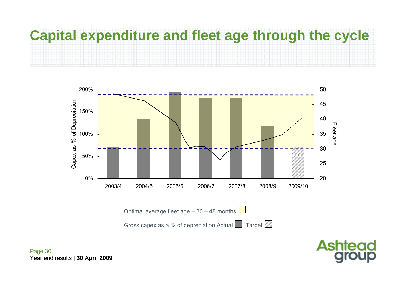

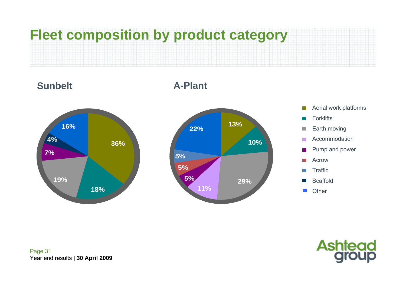





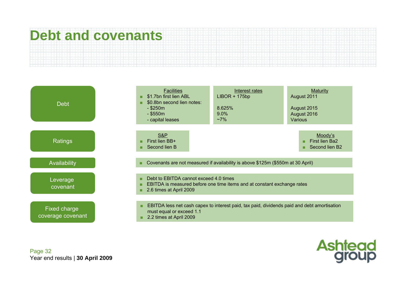# **Debt and covenants**